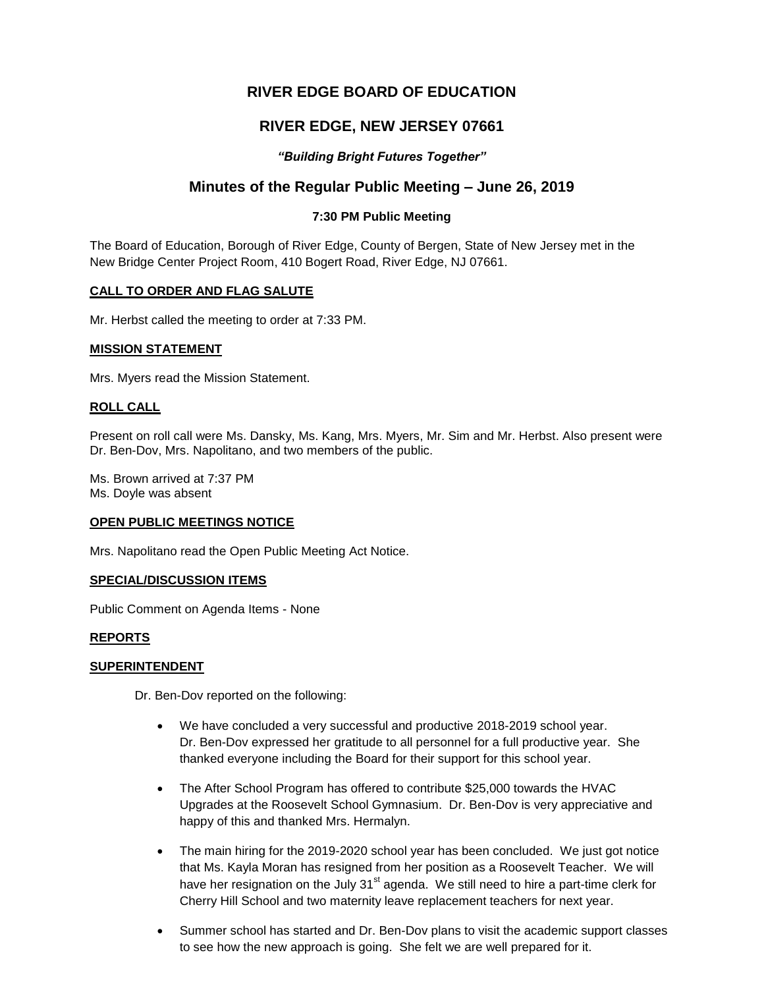# **RIVER EDGE BOARD OF EDUCATION**

# **RIVER EDGE, NEW JERSEY 07661**

# *"Building Bright Futures Together"*

# **Minutes of the Regular Public Meeting – June 26, 2019**

# **7:30 PM Public Meeting**

The Board of Education, Borough of River Edge, County of Bergen, State of New Jersey met in the New Bridge Center Project Room, 410 Bogert Road, River Edge, NJ 07661.

### **CALL TO ORDER AND FLAG SALUTE**

Mr. Herbst called the meeting to order at 7:33 PM.

### **MISSION STATEMENT**

Mrs. Myers read the Mission Statement.

### **ROLL CALL**

Present on roll call were Ms. Dansky, Ms. Kang, Mrs. Myers, Mr. Sim and Mr. Herbst. Also present were Dr. Ben-Dov, Mrs. Napolitano, and two members of the public.

Ms. Brown arrived at 7:37 PM Ms. Doyle was absent

### **OPEN PUBLIC MEETINGS NOTICE**

Mrs. Napolitano read the Open Public Meeting Act Notice.

### **SPECIAL/DISCUSSION ITEMS**

Public Comment on Agenda Items - None

### **REPORTS**

### **SUPERINTENDENT**

Dr. Ben-Dov reported on the following:

- We have concluded a very successful and productive 2018-2019 school year. Dr. Ben-Dov expressed her gratitude to all personnel for a full productive year. She thanked everyone including the Board for their support for this school year.
- The After School Program has offered to contribute \$25,000 towards the HVAC Upgrades at the Roosevelt School Gymnasium. Dr. Ben-Dov is very appreciative and happy of this and thanked Mrs. Hermalyn.
- The main hiring for the 2019-2020 school year has been concluded. We just got notice that Ms. Kayla Moran has resigned from her position as a Roosevelt Teacher. We will have her resignation on the July 31<sup>st</sup> agenda. We still need to hire a part-time clerk for Cherry Hill School and two maternity leave replacement teachers for next year.
- Summer school has started and Dr. Ben-Dov plans to visit the academic support classes to see how the new approach is going. She felt we are well prepared for it.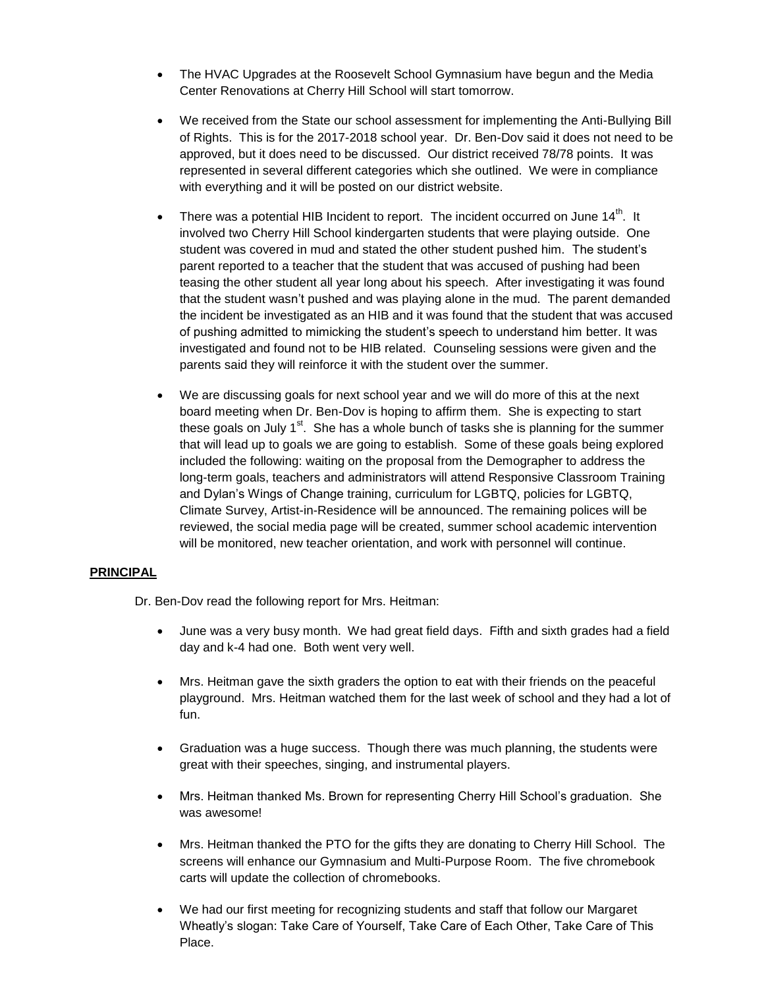- The HVAC Upgrades at the Roosevelt School Gymnasium have begun and the Media Center Renovations at Cherry Hill School will start tomorrow.
- We received from the State our school assessment for implementing the Anti-Bullying Bill of Rights. This is for the 2017-2018 school year. Dr. Ben-Dov said it does not need to be approved, but it does need to be discussed. Our district received 78/78 points. It was represented in several different categories which she outlined. We were in compliance with everything and it will be posted on our district website.
- There was a potential HIB Incident to report. The incident occurred on June  $14<sup>th</sup>$ . It involved two Cherry Hill School kindergarten students that were playing outside. One student was covered in mud and stated the other student pushed him. The student's parent reported to a teacher that the student that was accused of pushing had been teasing the other student all year long about his speech. After investigating it was found that the student wasn't pushed and was playing alone in the mud. The parent demanded the incident be investigated as an HIB and it was found that the student that was accused of pushing admitted to mimicking the student's speech to understand him better. It was investigated and found not to be HIB related. Counseling sessions were given and the parents said they will reinforce it with the student over the summer.
- We are discussing goals for next school year and we will do more of this at the next board meeting when Dr. Ben-Dov is hoping to affirm them. She is expecting to start these goals on July  $1<sup>st</sup>$ . She has a whole bunch of tasks she is planning for the summer that will lead up to goals we are going to establish. Some of these goals being explored included the following: waiting on the proposal from the Demographer to address the long-term goals, teachers and administrators will attend Responsive Classroom Training and Dylan's Wings of Change training, curriculum for LGBTQ, policies for LGBTQ, Climate Survey, Artist-in-Residence will be announced. The remaining polices will be reviewed, the social media page will be created, summer school academic intervention will be monitored, new teacher orientation, and work with personnel will continue.

# **PRINCIPAL**

Dr. Ben-Dov read the following report for Mrs. Heitman:

- June was a very busy month. We had great field days. Fifth and sixth grades had a field day and k-4 had one. Both went very well.
- Mrs. Heitman gave the sixth graders the option to eat with their friends on the peaceful playground. Mrs. Heitman watched them for the last week of school and they had a lot of fun.
- Graduation was a huge success. Though there was much planning, the students were great with their speeches, singing, and instrumental players.
- Mrs. Heitman thanked Ms. Brown for representing Cherry Hill School's graduation. She was awesome!
- Mrs. Heitman thanked the PTO for the gifts they are donating to Cherry Hill School. The screens will enhance our Gymnasium and Multi-Purpose Room. The five chromebook carts will update the collection of chromebooks.
- We had our first meeting for recognizing students and staff that follow our Margaret Wheatly's slogan: Take Care of Yourself, Take Care of Each Other, Take Care of This Place.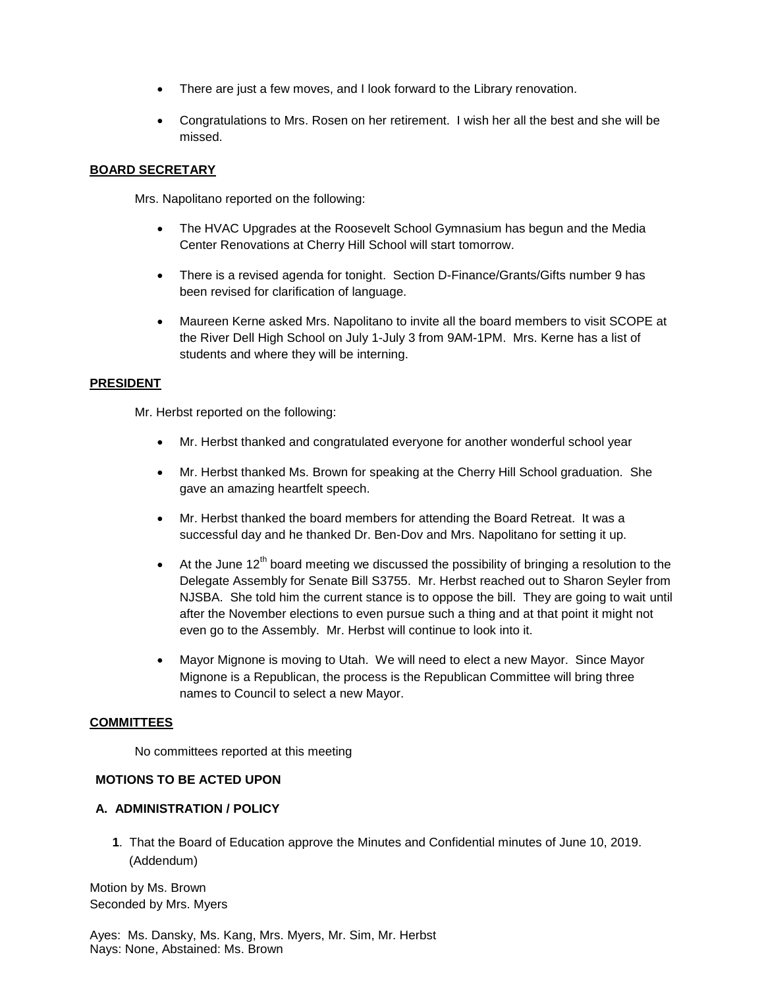- There are just a few moves, and I look forward to the Library renovation.
- Congratulations to Mrs. Rosen on her retirement. I wish her all the best and she will be missed.

### **BOARD SECRETARY**

Mrs. Napolitano reported on the following:

- The HVAC Upgrades at the Roosevelt School Gymnasium has begun and the Media Center Renovations at Cherry Hill School will start tomorrow.
- There is a revised agenda for tonight. Section D-Finance/Grants/Gifts number 9 has been revised for clarification of language.
- Maureen Kerne asked Mrs. Napolitano to invite all the board members to visit SCOPE at the River Dell High School on July 1-July 3 from 9AM-1PM. Mrs. Kerne has a list of students and where they will be interning.

### **PRESIDENT**

Mr. Herbst reported on the following:

- Mr. Herbst thanked and congratulated everyone for another wonderful school year
- Mr. Herbst thanked Ms. Brown for speaking at the Cherry Hill School graduation. She gave an amazing heartfelt speech.
- Mr. Herbst thanked the board members for attending the Board Retreat. It was a successful day and he thanked Dr. Ben-Dov and Mrs. Napolitano for setting it up.
- $\bullet$  At the June 12<sup>th</sup> board meeting we discussed the possibility of bringing a resolution to the Delegate Assembly for Senate Bill S3755. Mr. Herbst reached out to Sharon Seyler from NJSBA. She told him the current stance is to oppose the bill. They are going to wait until after the November elections to even pursue such a thing and at that point it might not even go to the Assembly. Mr. Herbst will continue to look into it.
- Mayor Mignone is moving to Utah. We will need to elect a new Mayor. Since Mayor Mignone is a Republican, the process is the Republican Committee will bring three names to Council to select a new Mayor.

### **COMMITTEES**

No committees reported at this meeting

### **MOTIONS TO BE ACTED UPON**

# **A. ADMINISTRATION / POLICY**

**1**. That the Board of Education approve the Minutes and Confidential minutes of June 10, 2019. (Addendum)

Motion by Ms. Brown Seconded by Mrs. Myers

Ayes: Ms. Dansky, Ms. Kang, Mrs. Myers, Mr. Sim, Mr. Herbst Nays: None, Abstained: Ms. Brown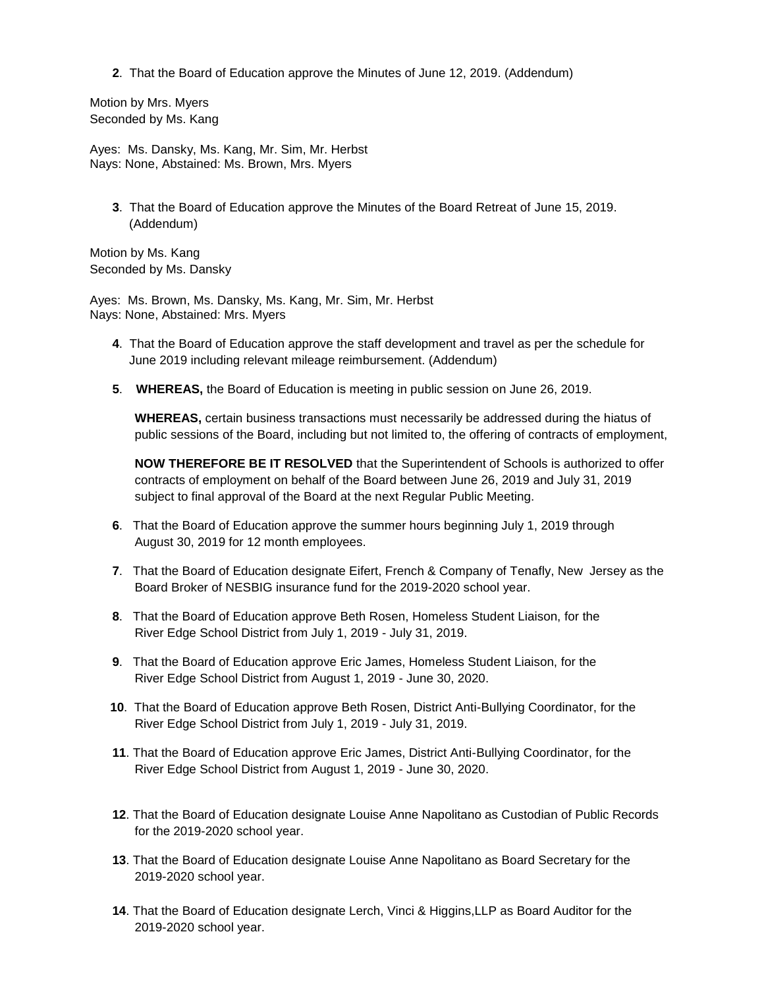**2**. That the Board of Education approve the Minutes of June 12, 2019. (Addendum)

Motion by Mrs. Myers Seconded by Ms. Kang

Ayes: Ms. Dansky, Ms. Kang, Mr. Sim, Mr. Herbst Nays: None, Abstained: Ms. Brown, Mrs. Myers

**3**. That the Board of Education approve the Minutes of the Board Retreat of June 15, 2019. (Addendum)

Motion by Ms. Kang Seconded by Ms. Dansky

Ayes: Ms. Brown, Ms. Dansky, Ms. Kang, Mr. Sim, Mr. Herbst Nays: None, Abstained: Mrs. Myers

- **4**. That the Board of Education approve the staff development and travel as per the schedule for June 2019 including relevant mileage reimbursement. (Addendum)
- **5**. **WHEREAS,** the Board of Education is meeting in public session on June 26, 2019.

**WHEREAS,** certain business transactions must necessarily be addressed during the hiatus of public sessions of the Board, including but not limited to, the offering of contracts of employment,

**NOW THEREFORE BE IT RESOLVED** that the Superintendent of Schools is authorized to offer contracts of employment on behalf of the Board between June 26, 2019 and July 31, 2019 subject to final approval of the Board at the next Regular Public Meeting.

- **6**. That the Board of Education approve the summer hours beginning July 1, 2019 through August 30, 2019 for 12 month employees.
- **7**. That the Board of Education designate Eifert, French & Company of Tenafly, New Jersey as the Board Broker of NESBIG insurance fund for the 2019-2020 school year.
- **8**. That the Board of Education approve Beth Rosen, Homeless Student Liaison, for the River Edge School District from July 1, 2019 - July 31, 2019.
- **9**. That the Board of Education approve Eric James, Homeless Student Liaison, for the River Edge School District from August 1, 2019 - June 30, 2020.
- **10**. That the Board of Education approve Beth Rosen, District Anti-Bullying Coordinator, for the River Edge School District from July 1, 2019 - July 31, 2019.
- **11**. That the Board of Education approve Eric James, District Anti-Bullying Coordinator, for the River Edge School District from August 1, 2019 - June 30, 2020.
- **12**. That the Board of Education designate Louise Anne Napolitano as Custodian of Public Records for the 2019-2020 school year.
- **13**. That the Board of Education designate Louise Anne Napolitano as Board Secretary for the 2019-2020 school year.
- **14**. That the Board of Education designate Lerch, Vinci & Higgins,LLP as Board Auditor for the 2019-2020 school year.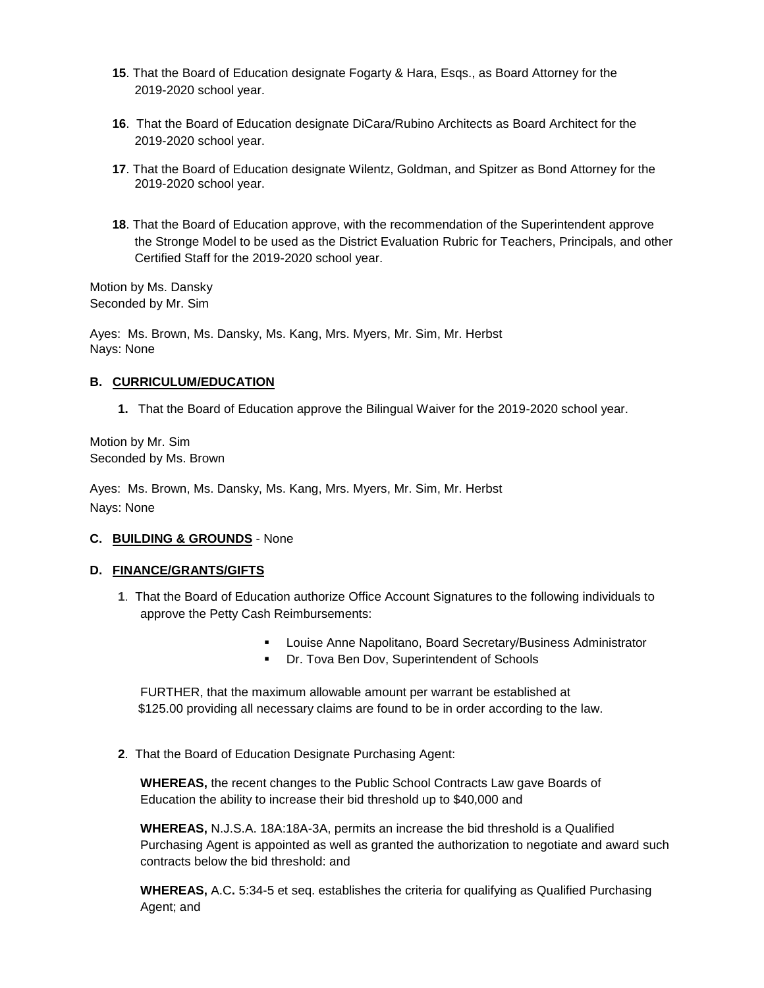- **15**. That the Board of Education designate Fogarty & Hara, Esqs., as Board Attorney for the 2019-2020 school year.
- **16**. That the Board of Education designate DiCara/Rubino Architects as Board Architect for the 2019-2020 school year.
- **17**. That the Board of Education designate Wilentz, Goldman, and Spitzer as Bond Attorney for the 2019-2020 school year.
- **18**. That the Board of Education approve, with the recommendation of the Superintendent approve the Stronge Model to be used as the District Evaluation Rubric for Teachers, Principals, and other Certified Staff for the 2019-2020 school year.

Motion by Ms. Dansky Seconded by Mr. Sim

Ayes: Ms. Brown, Ms. Dansky, Ms. Kang, Mrs. Myers, Mr. Sim, Mr. Herbst Nays: None

### **B. CURRICULUM/EDUCATION**

**1.** That the Board of Education approve the Bilingual Waiver for the 2019-2020 school year.

Motion by Mr. Sim Seconded by Ms. Brown

Ayes: Ms. Brown, Ms. Dansky, Ms. Kang, Mrs. Myers, Mr. Sim, Mr. Herbst Nays: None

# **C. BUILDING & GROUNDS** - None

### **D. FINANCE/GRANTS/GIFTS**

- **1**. That the Board of Education authorize Office Account Signatures to the following individuals to approve the Petty Cash Reimbursements:
	- Louise Anne Napolitano, Board Secretary/Business Administrator
	- Dr. Tova Ben Dov, Superintendent of Schools

FURTHER, that the maximum allowable amount per warrant be established at \$125.00 providing all necessary claims are found to be in order according to the law.

**2**. That the Board of Education Designate Purchasing Agent:

**WHEREAS,** the recent changes to the Public School Contracts Law gave Boards of Education the ability to increase their bid threshold up to \$40,000 and

**WHEREAS,** N.J.S.A. 18A:18A-3A, permits an increase the bid threshold is a Qualified Purchasing Agent is appointed as well as granted the authorization to negotiate and award such contracts below the bid threshold: and

**WHEREAS,** A.C**.** 5:34-5 et seq. establishes the criteria for qualifying as Qualified Purchasing Agent; and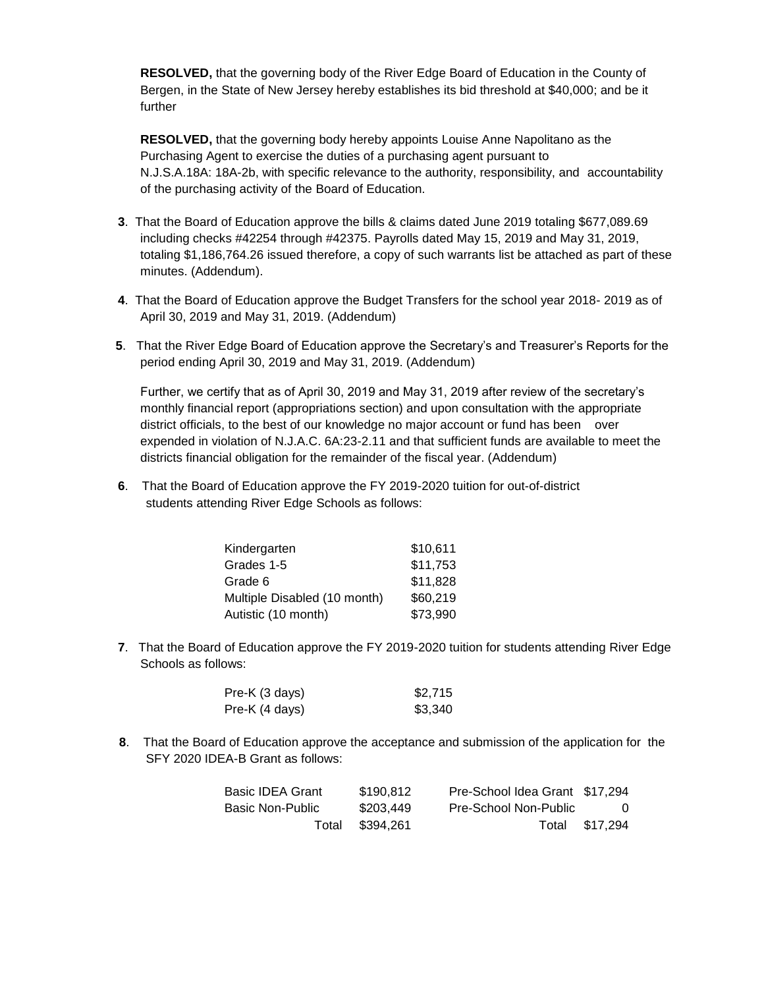**RESOLVED,** that the governing body of the River Edge Board of Education in the County of Bergen, in the State of New Jersey hereby establishes its bid threshold at \$40,000; and be it further

**RESOLVED,** that the governing body hereby appoints Louise Anne Napolitano as the Purchasing Agent to exercise the duties of a purchasing agent pursuant to N.J.S.A.18A: 18A-2b, with specific relevance to the authority, responsibility, and accountability of the purchasing activity of the Board of Education.

- **3**. That the Board of Education approve the bills & claims dated June 2019 totaling \$677,089.69 including checks #42254 through #42375. Payrolls dated May 15, 2019 and May 31, 2019, totaling \$1,186,764.26 issued therefore, a copy of such warrants list be attached as part of these minutes. (Addendum).
- **4**. That the Board of Education approve the Budget Transfers for the school year 2018- 2019 as of April 30, 2019 and May 31, 2019. (Addendum)
- **5**. That the River Edge Board of Education approve the Secretary's and Treasurer's Reports for the period ending April 30, 2019 and May 31, 2019. (Addendum)

Further, we certify that as of April 30, 2019 and May 31, 2019 after review of the secretary's monthly financial report (appropriations section) and upon consultation with the appropriate district officials, to the best of our knowledge no major account or fund has been over expended in violation of N.J.A.C. 6A:23-2.11 and that sufficient funds are available to meet the districts financial obligation for the remainder of the fiscal year. (Addendum)

**6**. That the Board of Education approve the FY 2019-2020 tuition for out-of-district students attending River Edge Schools as follows:

| Kindergarten                 | \$10,611 |
|------------------------------|----------|
| Grades 1-5                   | \$11,753 |
| Grade 6                      | \$11,828 |
| Multiple Disabled (10 month) | \$60,219 |
| Autistic (10 month)          | \$73,990 |

**7**. That the Board of Education approve the FY 2019-2020 tuition for students attending River Edge Schools as follows:

| Pre-K (3 days) | \$2,715 |
|----------------|---------|
| Pre-K (4 days) | \$3,340 |

 **8**. That the Board of Education approve the acceptance and submission of the application for the SFY 2020 IDEA-B Grant as follows:

| <b>Basic IDEA Grant</b> | \$190.812       | Pre-School Idea Grant \$17,294 |                |
|-------------------------|-----------------|--------------------------------|----------------|
| Basic Non-Public        | \$203.449       | Pre-School Non-Public          | $\Omega$       |
|                         | Total \$394,261 |                                | Total \$17,294 |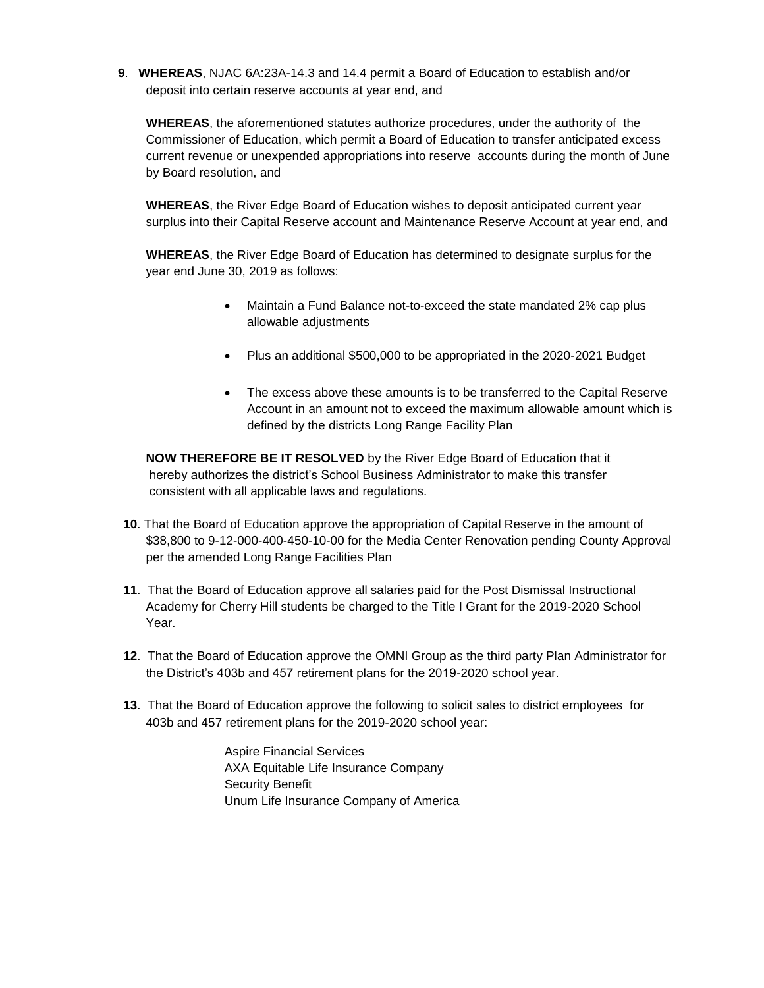**9**. **WHEREAS**, NJAC 6A:23A-14.3 and 14.4 permit a Board of Education to establish and/or deposit into certain reserve accounts at year end, and

**WHEREAS**, the aforementioned statutes authorize procedures, under the authority of the Commissioner of Education, which permit a Board of Education to transfer anticipated excess current revenue or unexpended appropriations into reserve accounts during the month of June by Board resolution, and

**WHEREAS**, the River Edge Board of Education wishes to deposit anticipated current year surplus into their Capital Reserve account and Maintenance Reserve Account at year end, and

**WHEREAS**, the River Edge Board of Education has determined to designate surplus for the year end June 30, 2019 as follows:

- Maintain a Fund Balance not-to-exceed the state mandated 2% cap plus allowable adjustments
- Plus an additional \$500,000 to be appropriated in the 2020-2021 Budget
- The excess above these amounts is to be transferred to the Capital Reserve Account in an amount not to exceed the maximum allowable amount which is defined by the districts Long Range Facility Plan

**NOW THEREFORE BE IT RESOLVED** by the River Edge Board of Education that it hereby authorizes the district's School Business Administrator to make this transfer consistent with all applicable laws and regulations.

- **10**. That the Board of Education approve the appropriation of Capital Reserve in the amount of \$38,800 to 9-12-000-400-450-10-00 for the Media Center Renovation pending County Approval per the amended Long Range Facilities Plan
- **11**.That the Board of Education approve all salaries paid for the Post Dismissal Instructional Academy for Cherry Hill students be charged to the Title I Grant for the 2019-2020 School Year.
- **12**. That the Board of Education approve the OMNI Group as the third party Plan Administrator for the District's 403b and 457 retirement plans for the 2019-2020 school year.
- **13**. That the Board of Education approve the following to solicit sales to district employees for 403b and 457 retirement plans for the 2019-2020 school year:

Aspire Financial Services AXA Equitable Life Insurance Company Security Benefit Unum Life Insurance Company of America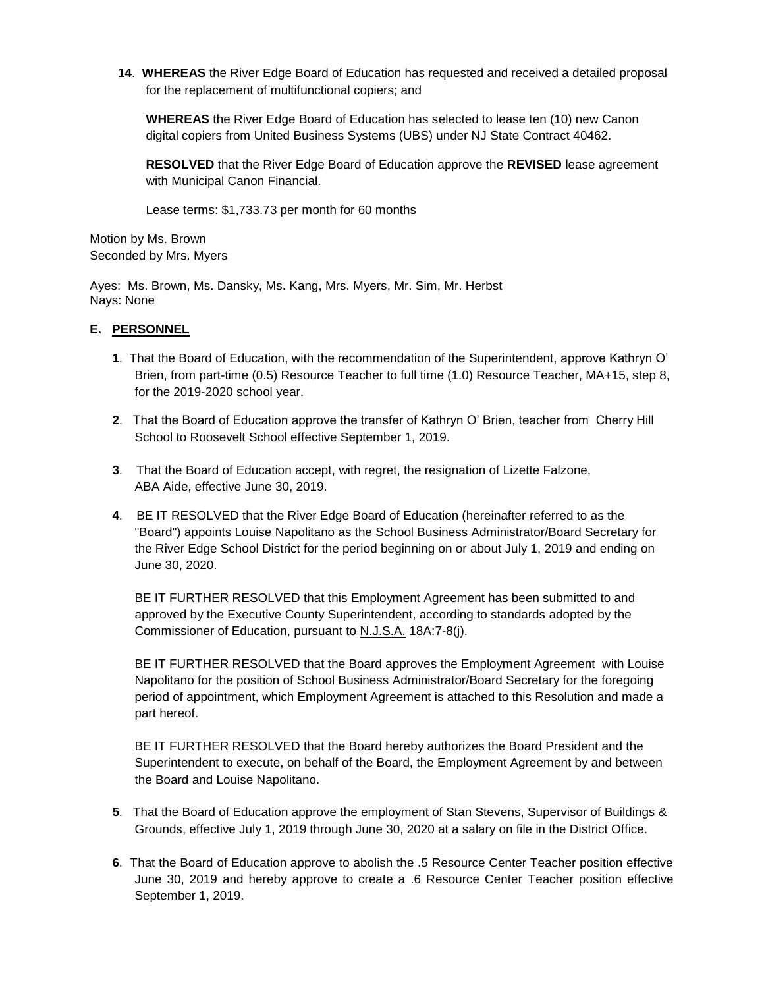**14**. **WHEREAS** the River Edge Board of Education has requested and received a detailed proposal for the replacement of multifunctional copiers; and

**WHEREAS** the River Edge Board of Education has selected to lease ten (10) new Canon digital copiers from United Business Systems (UBS) under NJ State Contract 40462.

**RESOLVED** that the River Edge Board of Education approve the **REVISED** lease agreement with Municipal Canon Financial.

Lease terms: \$1,733.73 per month for 60 months

Motion by Ms. Brown Seconded by Mrs. Myers

Ayes: Ms. Brown, Ms. Dansky, Ms. Kang, Mrs. Myers, Mr. Sim, Mr. Herbst Nays: None

# **E. PERSONNEL**

- **1**. That the Board of Education, with the recommendation of the Superintendent, approve Kathryn O' Brien, from part-time (0.5) Resource Teacher to full time (1.0) Resource Teacher, MA+15, step 8, for the 2019-2020 school year.
- **2**. That the Board of Education approve the transfer of Kathryn O' Brien, teacher from Cherry Hill School to Roosevelt School effective September 1, 2019.
- **3**. That the Board of Education accept, with regret, the resignation of Lizette Falzone, ABA Aide, effective June 30, 2019.
- **4**. BE IT RESOLVED that the River Edge Board of Education (hereinafter referred to as the "Board") appoints Louise Napolitano as the School Business Administrator/Board Secretary for the River Edge School District for the period beginning on or about July 1, 2019 and ending on June 30, 2020.

BE IT FURTHER RESOLVED that this Employment Agreement has been submitted to and approved by the Executive County Superintendent, according to standards adopted by the Commissioner of Education, pursuant to N.J.S.A. 18A:7-8(j).

BE IT FURTHER RESOLVED that the Board approves the Employment Agreement with Louise Napolitano for the position of School Business Administrator/Board Secretary for the foregoing period of appointment, which Employment Agreement is attached to this Resolution and made a part hereof.

BE IT FURTHER RESOLVED that the Board hereby authorizes the Board President and the Superintendent to execute, on behalf of the Board, the Employment Agreement by and between the Board and Louise Napolitano.

- **5**. That the Board of Education approve the employment of Stan Stevens, Supervisor of Buildings & Grounds, effective July 1, 2019 through June 30, 2020 at a salary on file in the District Office.
- **6**. That the Board of Education approve to abolish the .5 Resource Center Teacher position effective June 30, 2019 and hereby approve to create a .6 Resource Center Teacher position effective September 1, 2019.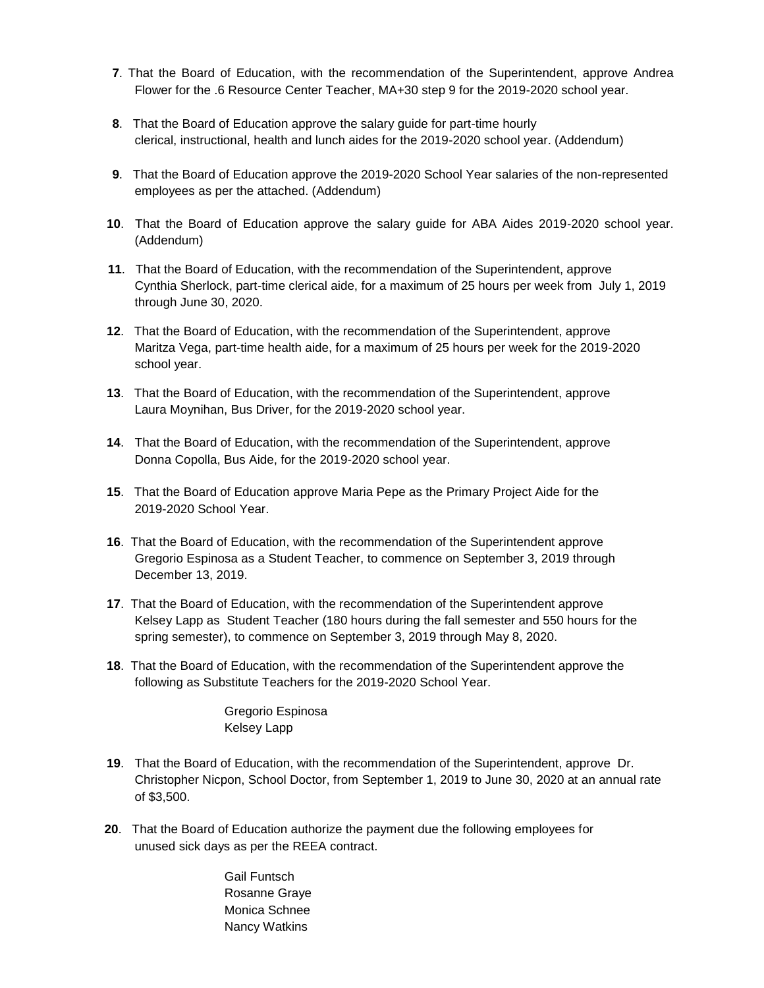- **7**. That the Board of Education, with the recommendation of the Superintendent, approve Andrea Flower for the .6 Resource Center Teacher, MA+30 step 9 for the 2019-2020 school year.
- **8**. That the Board of Education approve the salary guide for part-time hourly clerical, instructional, health and lunch aides for the 2019-2020 school year. (Addendum)
- **9**. That the Board of Education approve the 2019-2020 School Year salaries of the non-represented employees as per the attached. (Addendum)
- **10**. That the Board of Education approve the salary guide for ABA Aides 2019-2020 school year. (Addendum)
- **11**. That the Board of Education, with the recommendation of the Superintendent, approve Cynthia Sherlock, part-time clerical aide, for a maximum of 25 hours per week from July 1, 2019 through June 30, 2020.
- **12**. That the Board of Education, with the recommendation of the Superintendent, approve Maritza Vega, part-time health aide, for a maximum of 25 hours per week for the 2019-2020 school year.
- **13**. That the Board of Education, with the recommendation of the Superintendent, approve Laura Moynihan, Bus Driver, for the 2019-2020 school year.
- **14**. That the Board of Education, with the recommendation of the Superintendent, approve Donna Copolla, Bus Aide, for the 2019-2020 school year.
- **15**. That the Board of Education approve Maria Pepe as the Primary Project Aide for the 2019-2020 School Year.
- **16**. That the Board of Education, with the recommendation of the Superintendent approve Gregorio Espinosa as a Student Teacher, to commence on September 3, 2019 through December 13, 2019.
- **17**. That the Board of Education, with the recommendation of the Superintendent approve Kelsey Lapp as Student Teacher (180 hours during the fall semester and 550 hours for the spring semester), to commence on September 3, 2019 through May 8, 2020.
- **18**. That the Board of Education, with the recommendation of the Superintendent approve the following as Substitute Teachers for the 2019-2020 School Year.

Gregorio Espinosa Kelsey Lapp

- **19**. That the Board of Education, with the recommendation of the Superintendent, approve Dr. Christopher Nicpon, School Doctor, from September 1, 2019 to June 30, 2020 at an annual rate of \$3,500.
- **20**. That the Board of Education authorize the payment due the following employees for unused sick days as per the REEA contract.

Gail Funtsch Rosanne Graye Monica Schnee Nancy Watkins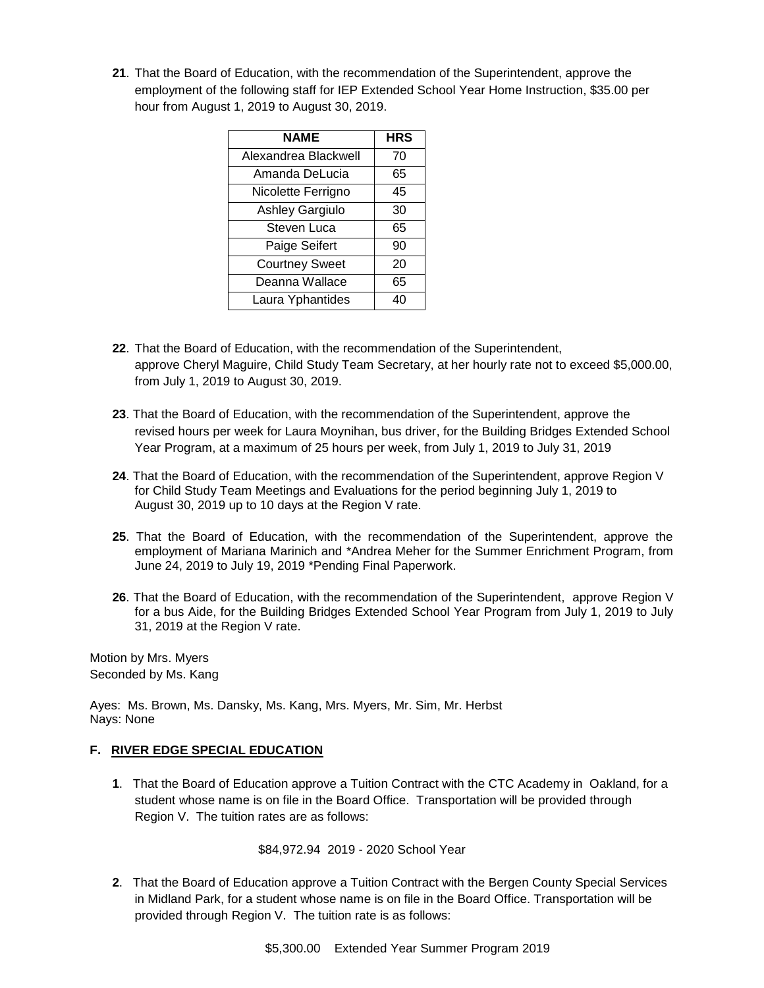**21**. That the Board of Education, with the recommendation of the Superintendent, approve the employment of the following staff for IEP Extended School Year Home Instruction, \$35.00 per hour from August 1, 2019 to August 30, 2019.

| <b>NAME</b>            | <b>HRS</b> |
|------------------------|------------|
| Alexandrea Blackwell   | 70         |
| Amanda DeLucia         | 65         |
| Nicolette Ferrigno     | 45         |
| <b>Ashley Gargiulo</b> | 30         |
| Steven Luca            | 65         |
| Paige Seifert          | 90         |
| <b>Courtney Sweet</b>  | 20         |
| Deanna Wallace         | 65         |
| Laura Yphantides       | 40         |

- **22**. That the Board of Education, with the recommendation of the Superintendent, approve Cheryl Maguire, Child Study Team Secretary, at her hourly rate not to exceed \$5,000.00, from July 1, 2019 to August 30, 2019.
- **23**. That the Board of Education, with the recommendation of the Superintendent, approve the revised hours per week for Laura Moynihan, bus driver, for the Building Bridges Extended School Year Program, at a maximum of 25 hours per week, from July 1, 2019 to July 31, 2019
- **24**. That the Board of Education, with the recommendation of the Superintendent, approve Region V for Child Study Team Meetings and Evaluations for the period beginning July 1, 2019 to August 30, 2019 up to 10 days at the Region V rate.
- **25**. That the Board of Education, with the recommendation of the Superintendent, approve the employment of Mariana Marinich and \*Andrea Meher for the Summer Enrichment Program, from June 24, 2019 to July 19, 2019 \*Pending Final Paperwork.
- **26**. That the Board of Education, with the recommendation of the Superintendent, approve Region V for a bus Aide, for the Building Bridges Extended School Year Program from July 1, 2019 to July 31, 2019 at the Region V rate.

Motion by Mrs. Myers Seconded by Ms. Kang

Ayes: Ms. Brown, Ms. Dansky, Ms. Kang, Mrs. Myers, Mr. Sim, Mr. Herbst Nays: None

# **F. RIVER EDGE SPECIAL EDUCATION**

**1**. That the Board of Education approve a Tuition Contract with the CTC Academy in Oakland, for a student whose name is on file in the Board Office. Transportation will be provided through Region V. The tuition rates are as follows:

# \$84,972.94 2019 - 2020 School Year

**2**. That the Board of Education approve a Tuition Contract with the Bergen County Special Services in Midland Park, for a student whose name is on file in the Board Office. Transportation will be provided through Region V. The tuition rate is as follows: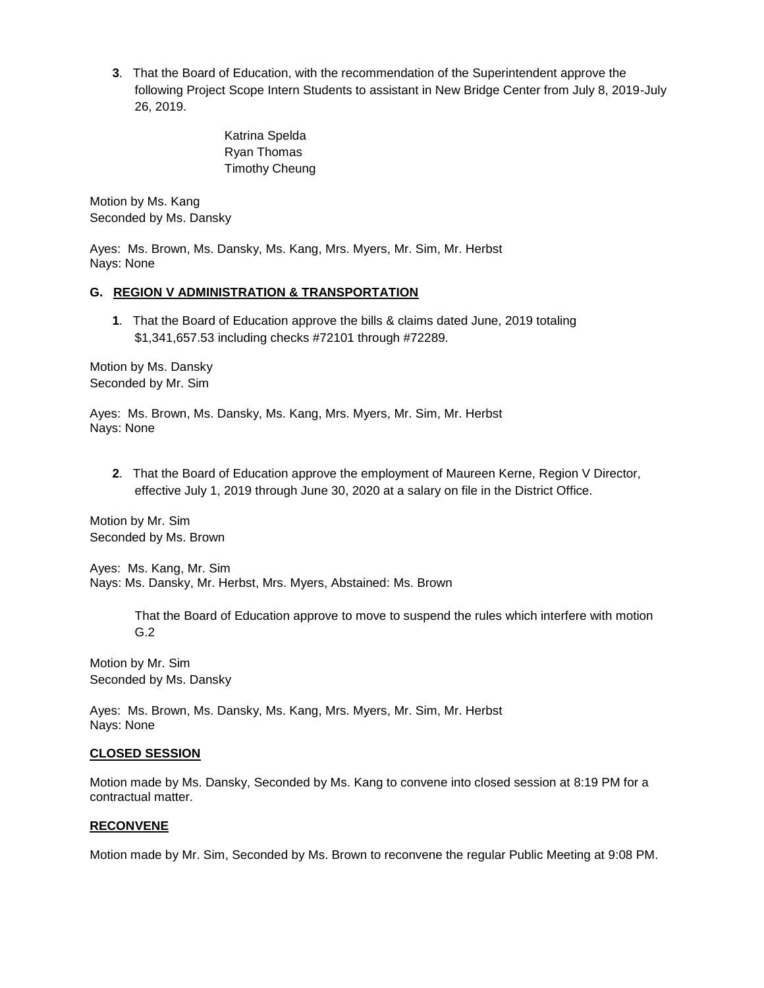**3**. That the Board of Education, with the recommendation of the Superintendent approve the following Project Scope Intern Students to assistant in New Bridge Center from July 8, 2019-July 26, 2019.

> Katrina Spelda Ryan Thomas Timothy Cheung

Motion by Ms. Kang Seconded by Ms. Dansky

Ayes: Ms. Brown, Ms. Dansky, Ms. Kang, Mrs. Myers, Mr. Sim, Mr. Herbst Nays: None

# **G. REGION V ADMINISTRATION & TRANSPORTATION**

**1**. That the Board of Education approve the bills & claims dated June, 2019 totaling \$1,341,657.53 including checks #72101 through #72289.

Motion by Ms. Dansky Seconded by Mr. Sim

Ayes: Ms. Brown, Ms. Dansky, Ms. Kang, Mrs. Myers, Mr. Sim, Mr. Herbst Nays: None

**2**. That the Board of Education approve the employment of Maureen Kerne, Region V Director, effective July 1, 2019 through June 30, 2020 at a salary on file in the District Office.

Motion by Mr. Sim Seconded by Ms. Brown

Ayes: Ms. Kang, Mr. Sim Nays: Ms. Dansky, Mr. Herbst, Mrs. Myers, Abstained: Ms. Brown

> That the Board of Education approve to move to suspend the rules which interfere with motion G.2

Motion by Mr. Sim Seconded by Ms. Dansky

Ayes: Ms. Brown, Ms. Dansky, Ms. Kang, Mrs. Myers, Mr. Sim, Mr. Herbst Nays: None

### **CLOSED SESSION**

Motion made by Ms. Dansky, Seconded by Ms. Kang to convene into closed session at 8:19 PM for a contractual matter.

### **RECONVENE**

Motion made by Mr. Sim, Seconded by Ms. Brown to reconvene the regular Public Meeting at 9:08 PM.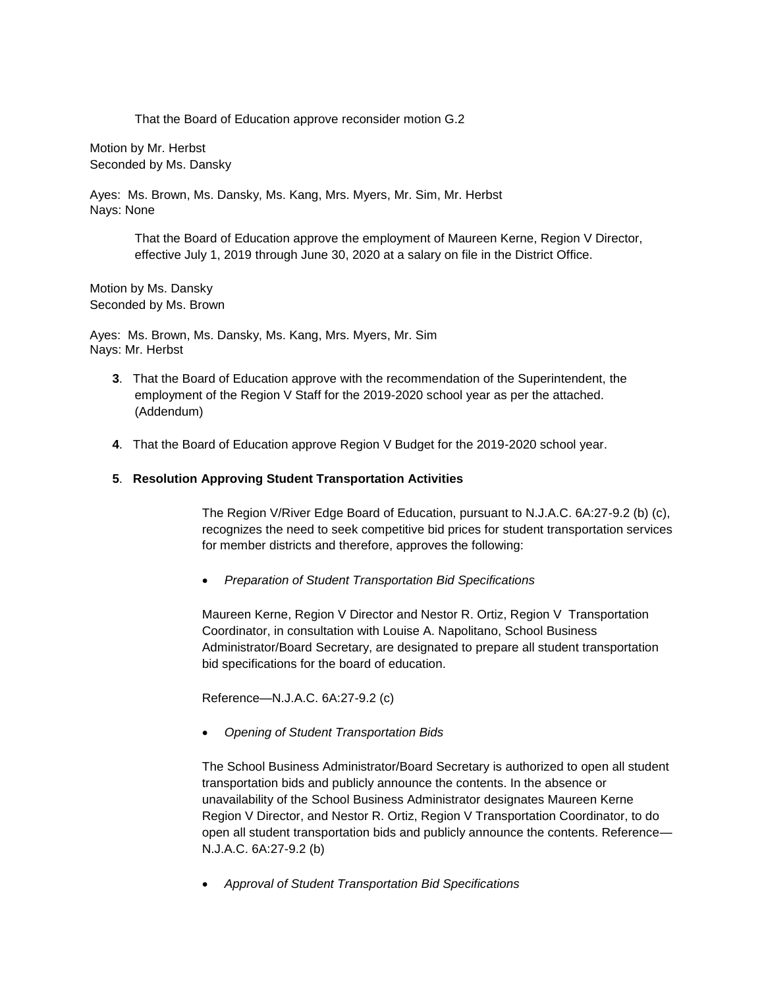That the Board of Education approve reconsider motion G.2

Motion by Mr. Herbst Seconded by Ms. Dansky

Ayes: Ms. Brown, Ms. Dansky, Ms. Kang, Mrs. Myers, Mr. Sim, Mr. Herbst Nays: None

> That the Board of Education approve the employment of Maureen Kerne, Region V Director, effective July 1, 2019 through June 30, 2020 at a salary on file in the District Office.

Motion by Ms. Dansky Seconded by Ms. Brown

Ayes: Ms. Brown, Ms. Dansky, Ms. Kang, Mrs. Myers, Mr. Sim Nays: Mr. Herbst

- **3**. That the Board of Education approve with the recommendation of the Superintendent, the employment of the Region V Staff for the 2019-2020 school year as per the attached. (Addendum)
- **4**. That the Board of Education approve Region V Budget for the 2019-2020 school year.

### **5**. **Resolution Approving Student Transportation Activities**

The Region V/River Edge Board of Education, pursuant to N.J.A.C. 6A:27-9.2 (b) (c), recognizes the need to seek competitive bid prices for student transportation services for member districts and therefore, approves the following:

*Preparation of Student Transportation Bid Specifications*

Maureen Kerne, Region V Director and Nestor R. Ortiz, Region V Transportation Coordinator, in consultation with Louise A. Napolitano, School Business Administrator/Board Secretary, are designated to prepare all student transportation bid specifications for the board of education.

Reference—N.J.A.C. 6A:27-9.2 (c)

*Opening of Student Transportation Bids*

The School Business Administrator/Board Secretary is authorized to open all student transportation bids and publicly announce the contents. In the absence or unavailability of the School Business Administrator designates Maureen Kerne Region V Director, and Nestor R. Ortiz, Region V Transportation Coordinator, to do open all student transportation bids and publicly announce the contents. Reference— N.J.A.C. 6A:27-9.2 (b)

*Approval of Student Transportation Bid Specifications*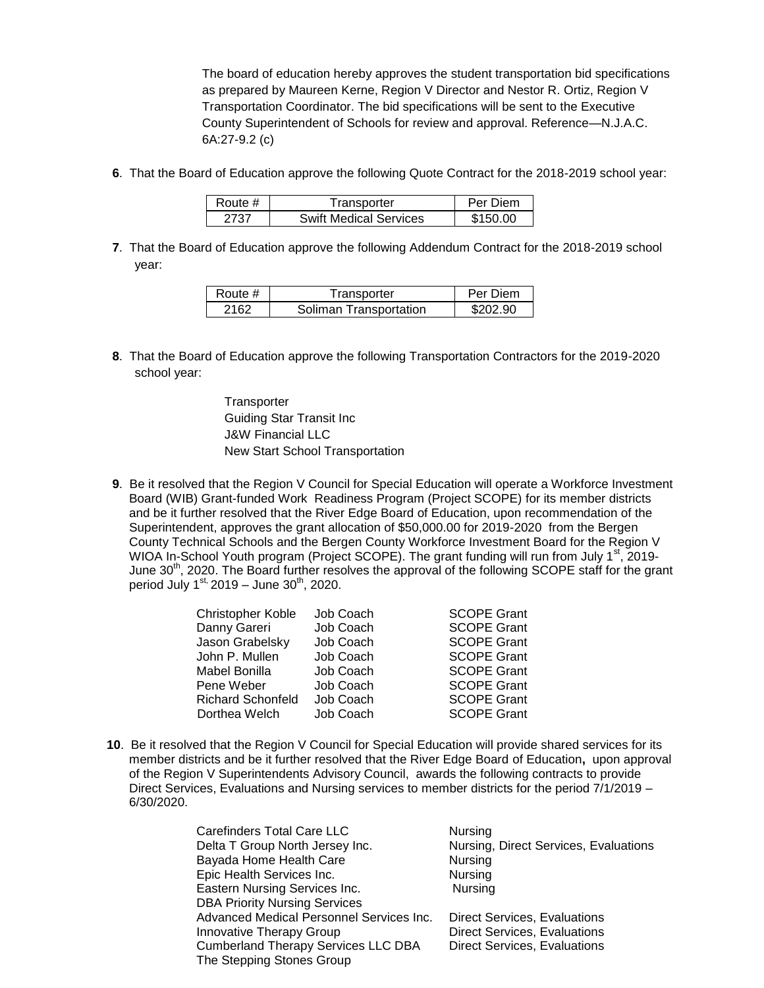The board of education hereby approves the student transportation bid specifications as prepared by Maureen Kerne, Region V Director and Nestor R. Ortiz, Region V Transportation Coordinator. The bid specifications will be sent to the Executive County Superintendent of Schools for review and approval. Reference—N.J.A.C. 6A:27-9.2 (c)

**6**. That the Board of Education approve the following Quote Contract for the 2018-2019 school year:

| Route #. | Transporter                   | Per Diem |
|----------|-------------------------------|----------|
|          | <b>Swift Medical Services</b> | \$150.00 |

**7**. That the Board of Education approve the following Addendum Contract for the 2018-2019 school year:

| Route # | Transporter            | Per Diem |
|---------|------------------------|----------|
| 2162    | Soliman Transportation | \$202.90 |

- **8**. That the Board of Education approve the following Transportation Contractors for the 2019-2020 school year:
	- **Transporter** Guiding Star Transit Inc J&W Financial LLC New Start School Transportation
- **9**. Be it resolved that the Region V Council for Special Education will operate a Workforce Investment Board (WIB) Grant-funded Work Readiness Program (Project SCOPE) for its member districts and be it further resolved that the River Edge Board of Education, upon recommendation of the Superintendent, approves the grant allocation of \$50,000.00 for 2019-2020 from the Bergen County Technical Schools and the Bergen County Workforce Investment Board for the Region V WIOA In-School Youth program (Project SCOPE). The grant funding will run from July 1<sup>st</sup>, 2019-June 30<sup>th</sup>, 2020. The Board further resolves the approval of the following SCOPE staff for the grant period July  $1^{st}$ , 2019 – June 30<sup>th</sup>, 2020.

| Christopher Koble        | Job Coach | <b>SCOPE Grant</b> |
|--------------------------|-----------|--------------------|
| Danny Gareri             | Job Coach | <b>SCOPE Grant</b> |
| Jason Grabelsky          | Job Coach | <b>SCOPE Grant</b> |
| John P. Mullen           | Job Coach | <b>SCOPE Grant</b> |
| Mabel Bonilla            | Job Coach | <b>SCOPE Grant</b> |
| Pene Weber               | Job Coach | <b>SCOPE Grant</b> |
| <b>Richard Schonfeld</b> | Job Coach | <b>SCOPE Grant</b> |
| Dorthea Welch            | Job Coach | <b>SCOPE Grant</b> |
|                          |           |                    |

**10**. Be it resolved that the Region V Council for Special Education will provide shared services for its member districts and be it further resolved that the River Edge Board of Education**,** upon approval of the Region V Superintendents Advisory Council, awards the following contracts to provide Direct Services, Evaluations and Nursing services to member districts for the period 7/1/2019 – 6/30/2020.

| Carefinders Total Care LLC                 | Nursing                               |
|--------------------------------------------|---------------------------------------|
| Delta T Group North Jersey Inc.            | Nursing, Direct Services, Evaluations |
| Bayada Home Health Care                    | Nursing                               |
| Epic Health Services Inc.                  | Nursing                               |
| Eastern Nursing Services Inc.              | Nursing                               |
| <b>DBA Priority Nursing Services</b>       |                                       |
| Advanced Medical Personnel Services Inc.   | <b>Direct Services, Evaluations</b>   |
| Innovative Therapy Group                   | <b>Direct Services, Evaluations</b>   |
| <b>Cumberland Therapy Services LLC DBA</b> | <b>Direct Services, Evaluations</b>   |
| The Stepping Stones Group                  |                                       |
|                                            |                                       |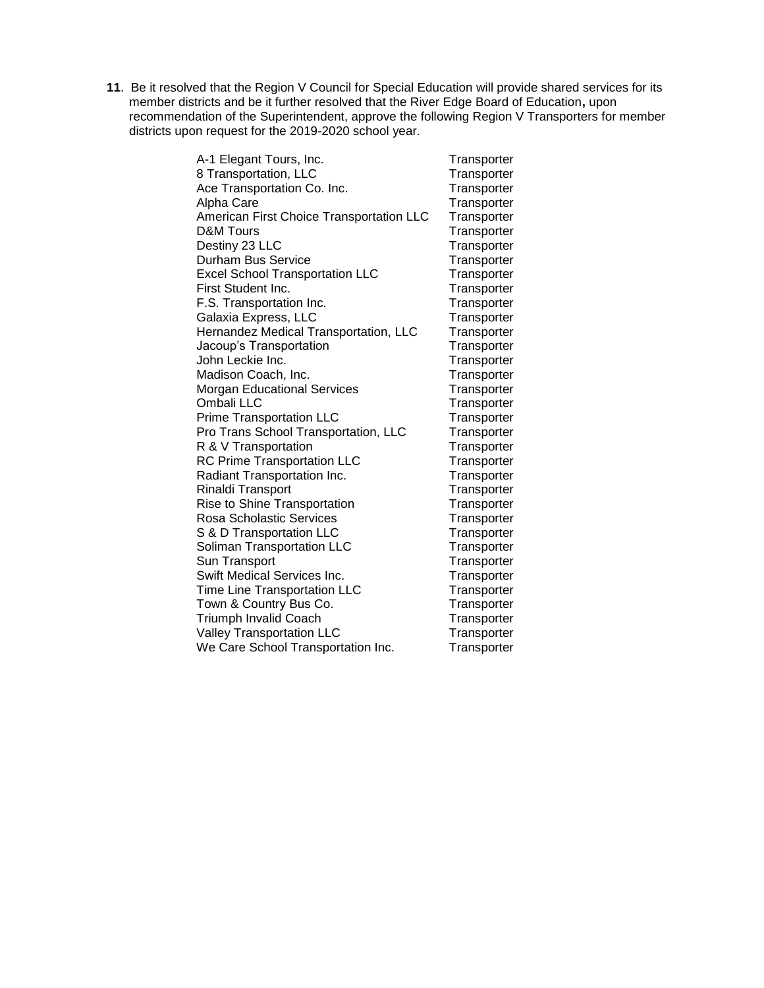**11**. Be it resolved that the Region V Council for Special Education will provide shared services for its member districts and be it further resolved that the River Edge Board of Education**,** upon recommendation of the Superintendent, approve the following Region V Transporters for member districts upon request for the 2019-2020 school year.

| A-1 Elegant Tours, Inc.                  | Transporter |
|------------------------------------------|-------------|
| 8 Transportation, LLC                    | Transporter |
| Ace Transportation Co. Inc.              | Transporter |
| Alpha Care                               | Transporter |
| American First Choice Transportation LLC | Transporter |
| <b>D&amp;M Tours</b>                     | Transporter |
| Destiny 23 LLC                           | Transporter |
| Durham Bus Service                       | Transporter |
| <b>Excel School Transportation LLC</b>   | Transporter |
| First Student Inc.                       | Transporter |
| F.S. Transportation Inc.                 | Transporter |
| Galaxia Express, LLC                     | Transporter |
| Hernandez Medical Transportation, LLC    | Transporter |
| Jacoup's Transportation                  | Transporter |
| John Leckie Inc.                         | Transporter |
| Madison Coach, Inc.                      | Transporter |
| <b>Morgan Educational Services</b>       | Transporter |
| Ombali LLC                               | Transporter |
| <b>Prime Transportation LLC</b>          | Transporter |
| Pro Trans School Transportation, LLC     | Transporter |
| R & V Transportation                     | Transporter |
| <b>RC Prime Transportation LLC</b>       | Transporter |
| Radiant Transportation Inc.              | Transporter |
| Rinaldi Transport                        | Transporter |
| Rise to Shine Transportation             | Transporter |
| <b>Rosa Scholastic Services</b>          | Transporter |
| S & D Transportation LLC                 | Transporter |
| Soliman Transportation LLC               | Transporter |
| Sun Transport                            | Transporter |
| Swift Medical Services Inc.              | Transporter |
| Time Line Transportation LLC             | Transporter |
| Town & Country Bus Co.                   | Transporter |
| <b>Triumph Invalid Coach</b>             | Transporter |
| Valley Transportation LLC                | Transporter |
| We Care School Transportation Inc.       | Transporter |
|                                          |             |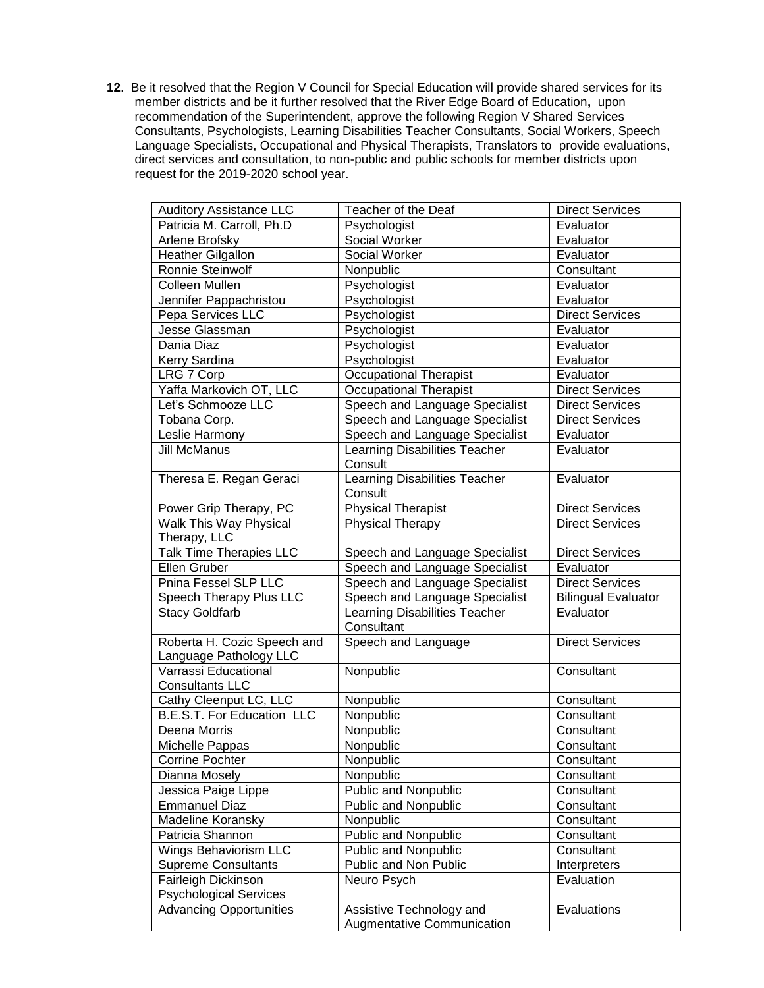**12**. Be it resolved that the Region V Council for Special Education will provide shared services for its member districts and be it further resolved that the River Edge Board of Education**,** upon recommendation of the Superintendent, approve the following Region V Shared Services Consultants, Psychologists, Learning Disabilities Teacher Consultants, Social Workers, Speech Language Specialists, Occupational and Physical Therapists, Translators to provide evaluations, direct services and consultation, to non-public and public schools for member districts upon request for the 2019-2020 school year.

| <b>Auditory Assistance LLC</b>                        | Teacher of the Deaf                         | <b>Direct Services</b>     |
|-------------------------------------------------------|---------------------------------------------|----------------------------|
| Patricia M. Carroll, Ph.D                             | Psychologist                                | Evaluator                  |
| Arlene Brofsky                                        | Social Worker                               | Evaluator                  |
| <b>Heather Gilgallon</b>                              | <b>Social Worker</b>                        | Evaluator                  |
| Ronnie Steinwolf                                      | Nonpublic                                   | Consultant                 |
| <b>Colleen Mullen</b>                                 | Psychologist                                | Evaluator                  |
| Jennifer Pappachristou                                | Psychologist                                | Evaluator                  |
| Pepa Services LLC                                     | Psychologist                                | <b>Direct Services</b>     |
| Jesse Glassman                                        | Psychologist                                | Evaluator                  |
| Dania Diaz                                            | Psychologist                                | Evaluator                  |
| Kerry Sardina                                         | Psychologist                                | Evaluator                  |
| <b>LRG 7 Corp</b>                                     | <b>Occupational Therapist</b>               | Evaluator                  |
| Yaffa Markovich OT, LLC                               | <b>Occupational Therapist</b>               | <b>Direct Services</b>     |
| Let's Schmooze LLC                                    | Speech and Language Specialist              | <b>Direct Services</b>     |
| Tobana Corp.                                          | Speech and Language Specialist              | <b>Direct Services</b>     |
| Leslie Harmony                                        | Speech and Language Specialist              | Evaluator                  |
| Jill McManus                                          | Learning Disabilities Teacher<br>Consult    | Evaluator                  |
| Theresa E. Regan Geraci                               | Learning Disabilities Teacher<br>Consult    | Evaluator                  |
| Power Grip Therapy, PC                                | <b>Physical Therapist</b>                   | <b>Direct Services</b>     |
| <b>Walk This Way Physical</b>                         | <b>Physical Therapy</b>                     | <b>Direct Services</b>     |
| Therapy, LLC                                          |                                             |                            |
| <b>Talk Time Therapies LLC</b>                        | Speech and Language Specialist              | <b>Direct Services</b>     |
| Ellen Gruber                                          | Speech and Language Specialist              | Evaluator                  |
| Pnina Fessel SLP LLC                                  | Speech and Language Specialist              | <b>Direct Services</b>     |
| Speech Therapy Plus LLC                               | Speech and Language Specialist              | <b>Bilingual Evaluator</b> |
| <b>Stacy Goldfarb</b>                                 | Learning Disabilities Teacher<br>Consultant | Evaluator                  |
| Roberta H. Cozic Speech and<br>Language Pathology LLC | Speech and Language                         | <b>Direct Services</b>     |
| Varrassi Educational<br><b>Consultants LLC</b>        | Nonpublic                                   | Consultant                 |
| Cathy Cleenput LC, LLC                                | Nonpublic                                   | Consultant                 |
| <b>B.E.S.T. For Education LLC</b>                     | Nonpublic                                   | Consultant                 |
| Deena Morris                                          | Nonpublic                                   | Consultant                 |
| Michelle Pappas                                       | Nonpublic                                   | Consultant                 |
| Corrine Pochter                                       | Nonpublic                                   | Consultant                 |
| Dianna Mosely                                         | Nonpublic                                   | Consultant                 |
| Jessica Paige Lippe                                   | <b>Public and Nonpublic</b>                 | Consultant                 |
| <b>Emmanuel Diaz</b>                                  | <b>Public and Nonpublic</b>                 | Consultant                 |
| Madeline Koransky                                     | Nonpublic                                   | Consultant                 |
| Patricia Shannon                                      | <b>Public and Nonpublic</b>                 | Consultant                 |
| Wings Behaviorism LLC                                 | Public and Nonpublic                        | Consultant                 |
| <b>Supreme Consultants</b>                            | Public and Non Public                       | Interpreters               |
| Fairleigh Dickinson                                   | Neuro Psych                                 | Evaluation                 |
| <b>Psychological Services</b>                         |                                             |                            |
| <b>Advancing Opportunities</b>                        | Assistive Technology and                    | Evaluations                |
|                                                       | Augmentative Communication                  |                            |